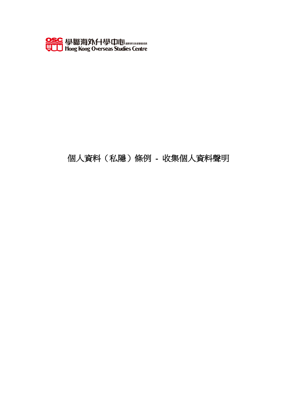

# 個人資料(私隱)條例 - 收集個人資料聲明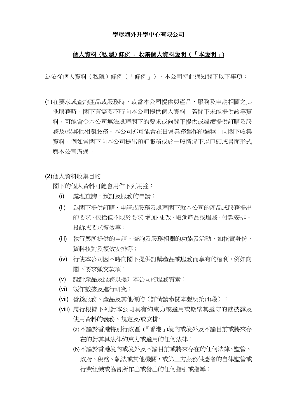#### 學聯海外升學中心有限公司

#### 個人資料(私 隱)條例 - 收集個人資料聲明(「本聲明」)

為依從個人資料(私隱)條例(「條例」),本公司特此通知閣下以下事項:

(1)在要求或查詢產品或服務時,或當本公司提供與產品、服務及申請相關之其 他服務時,閣下有需要不時向本公司提供個人資料。若閣下未能提供該等資 料,可能會令本公司無法處理閣下的要求或向閣下提供或繼續提供訂購及服 務及/或其他相關服務。本公司亦可能會在日常業務運作的過程中向閣下收集 資料,例如當閣下向本公司提出預訂服務或於一般情況下以口頭或書面形式 與本公司溝通。

(2)個人資料收集目的

閣下的個人資料可能會用作下列用途:

- (i) 處理查詢,預訂及服務的申請;
- (ii) 為閣下提供訂購、申請或服務及處理閣下就本公司的產品或服務提出 的要求,包括但不限於要求 増加、更改、取消產品或服務、付款安排、 投訴或要求復效等;
- (iii) 執行與所提供的申請、查詢及服務相關的功能及活動,如核實身份、 資料核對及復效安排等;
- (iv) 行使本公司因不時向閣下提供訂購產品或服務而享有的權利,例如向 閣下要求繳交款項;
- (v) 設計產品及服務以提升本公司的服務質素;
- (vi) 製作數據及進行研究;
- (vii) 營銷服務、產品及其他標的(詳情請參閲本聲明第(4)段):
- (viii) 履行根據下列對本公司具有約束力或適用或期望其遵守的就披露及 使用資料的義務、規定及/或安排:
	- (a)不論於香港特別行政區 (『香港』)境內或境外及不論目前或將來存 在的對其具法律約束力或適用的任何法律;
	- (b)不論於香港境內或境外及不論目前或將來存在的任何法律、監管、 政府、稅務、執法或其他機關,或第三方服務供應者的自律監管或 行業組織或協會所作出或發出的任何指引或指導;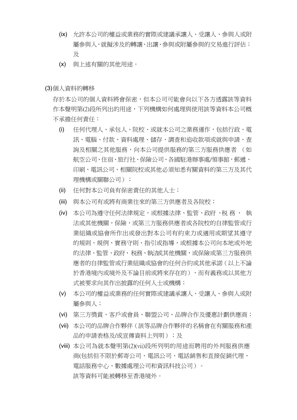- (ix) 允許本公司的權益或業務的實際或建議承讓人、受讓人、參與人或附 屬參與人,就擬涉及的轉讓、出讓、參與或附屬參與的交易進行評估; 及
- (x) 與上述有關的其他用途。

(3)個人資料的轉移

存於本公司的個人資料將會保密,但本公司可能會向以下各方透露該等資料 作本聲明第(2)段所列出的用途,下列機構如何處理與使用該等資料本公司概 不承擔任何責任:

- (i) 任何代理人、承包人、院校、或就本公司之業務運作,包括行政、電 訊、電腦、付款、資料處理、儲存、調查和追收款項或就與申請、查 詢及相關之其他服務,向本公司提供服務的第三方服務供應者 (如 航空公司、住宿、旅行社、保險公司、各國駐港辦事處/領事館,郵遞、 印刷、電訊公司、相關院校或其他必須知悉有關資料的第三方及其代 理機構或關聯公司);
- (ii) 任何對本公司負有保密責任的其他人士;
- (iii) 與本公司有或將有商業往來的第三方供應者及各院校;
- (iv) 本公司為遵守任何法律規定,或根據法律、監管、政府 、税務、 執 法或其他機關,保險,或第三方服務供應者或各院校的自律監管或行 業組織或協會所作出或發出對本公司有約束力或適用或期望其遵守 的規則、規例、實務守則、指引或指導,或根據本公司向本地或外地 的法律、監管、政府、税務、執法或其他機關,或保險或第三方服務供 應者的自律監管或行業組織或協會的任何合約或其他承諾(以上不論 於香港境內或境外及不論目前或將來存在的),而有義務或以其他方 式被要求向其作出披露的任何人士或機構;
- (v) 本公司的權益或業務的任何實際或建議承讓人、受讓人、參與人或附 屬參與人;
- (vi) 第三方獎賞、客戶或會員、聯盟公司、品牌合作及優惠計劃供應商;
- (vii) 本公司的品牌合作夥伴(該等品牌合作夥伴的名稱會在有關服務和產 品的申請表格及/或宣傳資料上列明);及
- (viii) 本公司為就本聲明第(2)(vii)段所列明的用途而聘用的外判服務供應 商(包括但不限於郵寄公司、電訊公司、電話銷售和直接促銷代理、 電話服務中心、數據處理公司和資訊科技公司)。 該等資料可能被轉移至香港境外。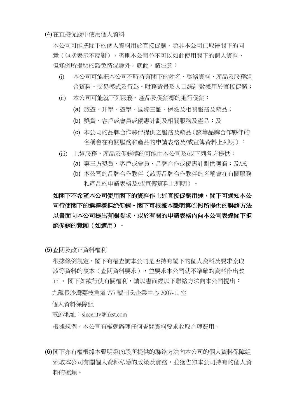(4)在直接促銷中使用個人資料

本公司可能把閣下的個人資料用於直接促銷,除非本公司已取得閣下的同 意(包括表示不反對),否則本公司並不可以如此使用閣下的個人資料, 但條例所指明的豁免情況除外。就此,請注意:

- (i) 本公司可能把本公司不時持有閣下的姓名、聯絡資料、產品及服務組 合資料、交易模式及行為、財務背景及人口統計數據用於直接促銷;
- (ii) 本公司可能就下列服務、產品及促銷標的進行促銷:
	- (a) 旅遊、升學、遊學、國際三証、保險及相關服務及產品;
	- (b) 獎賞、客戶或會員或優惠計劃及相關服務及產品:及
	- (c) 本公司的品牌合作夥伴提供之服務及產品(該等品牌合作夥伴的 名稱會在有關服務和產品的申請表格及/或宣傳資料上列明):
- (iii) 上述服務、產品及促銷標的可能由本公司及/或下列各方提供:
	- (a) 第三方獎賞、客戶或會員、品牌合作或優惠計劃供應商; 及/或
	- (b) 本公司的品牌合作夥伴(該等品牌合作夥伴的名稱會在有關服務 和產品的申請表格及/或宣傳資料上列明)。

# 如閣下不希望本公司使用閣下的資料作上述直接促銷用途,閣下可通知本公 司行使閣下的選擇權拒絶促銷。閣下可根據本聲明第(5)段所提供的聨絡方法 以書面向本公司提出有關要求,或於有關的申請表格內向本公司表達閣下拒 絕促銷的意願(如適用)。

(5)査閲及改正資料權利

根據條例規定,閣下有權查詢本公司是否持有閣下的個人資料及要求索取 該等資料的複本(查閲資料要求),並要求本公司就不準確的資料作出改 正 。 閣下如欲行使有關權利,請以書面經以下聯絡方法向本公司提出:

九龍長沙灣荔枝角道 777 號田氏企業中心 2007-11 室

個人資料保障組

電郵地址:sincerity@hkst.com

根據規例,本公司有權就辦理任何査閲資料要求收取合理費用。

(6)閣下亦有權根據本聲明第(5)段所提供的聯络方法向本公司的個人資料保障組 索取本公司有關個人資料私隱的政策及實務,並獲告知本公司持有的個人資 料的種類。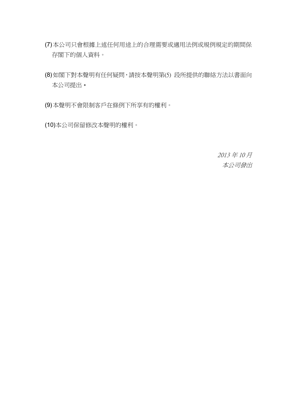- (7)本公司只會根據上述任何用途上的合理需要或適用法例或規例規定的期間保 存閣下的個人資料。
- (8)如閣下對本聲明有任何疑問,請按本聲明第(5) 段所提供的聯絡方法以書面向 本公司提出。
- (9)本聲明不會限制客戶在條例下所享有的權利。
- (10)本公司保留修改本聲明的權利。

2013 年 10 月 本公司發出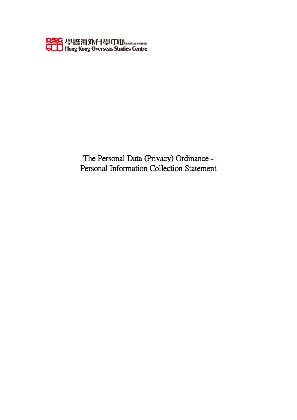

The Personal Data (Privacy) Ordinance - Personal Information Collection Statement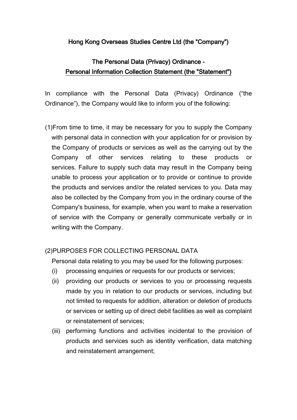### Hong Kong Overseas Studies Centre Ltd (the "Company")

## The Personal Data (Privacy) Ordinance - Personal Information Collection Statement (the "Statement")

In compliance with the Personal Data (Privacy) Ordinance ("the Ordinance"), the Company would like to inform you of the following:

(1)From time to time, it may be necessary for you to supply the Company with personal data in connection with your application for or provision by the Company of products or services as well as the carrying out by the Company of other services relating to these products or services. Failure to supply such data may result in the Company being unable to process your application or to provide or continue to provide the products and services and/or the related services to you. Data may also be collected by the Company from you in the ordinary course of the Company's business, for example, when you want to make a reservation of service with the Company or generally communicate verbally or in writing with the Company.

### (2)PURPOSES FOR COLLECTING PERSONAL DATA

Personal data relating to you may be used for the following purposes:

- (i) processing enquiries or requests for our products or services;
- (ii) providing our products or services to you or processing requests made by you in relation to our products or services, including but not limited to requests for addition, alteration or deletion of products or services or setting up of direct debit facilities as well as complaint or reinstatement of services;
- (iii) performing functions and activities incidental to the provision of products and services such as identity verification, data matching and reinstatement arrangement;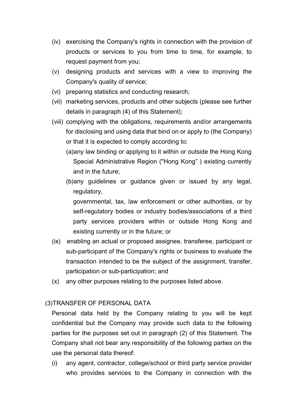- (iv) exercising the Company's rights in connection with the provision of products or services to you from time to time, for example, to request payment from you;
- (v) designing products and services with a view to improving the Company's quality of service;
- (vi) preparing statistics and conducting research;
- (vii) marketing services, products and other subjects (please see further details in paragraph (4) of this Statement);
- (viii) complying with the obligations, requirements and/or arrangements for disclosing and using data that bind on or apply to (the Company) or that it is expected to comply according to:
	- (a)any law binding or applying to it within or outside the Hong Kong Special Administrative Region ("Hong Kong" ) existing currently and in the future;
	- (b)any guidelines or guidance given or issued by any legal, regulatory,

governmental, tax, law enforcement or other authorities, or by self-regulatory bodies or industry bodies/associations of a third party services providers within or outside Hong Kong and existing currently or in the future; or

- (ix) enabling an actual or proposed assignee, transferee, participant or sub-participant of the Company's rights or business to evaluate the transaction intended to be the subject of the assignment, transfer, participation or sub-participation; and
- (x) any other purposes relating to the purposes listed above.

### (3)TRANSFER OF PERSONAL DATA

Personal data held by the Company relating to you will be kept confidential but the Company may provide such data to the following parties for the purposes set out in paragraph (2) of this Statement. The Company shall not bear any responsibility of the following parties on the use the personal data thereof:

(i) any agent, contractor, college/school or third party service provider who provides services to the Company in connection with the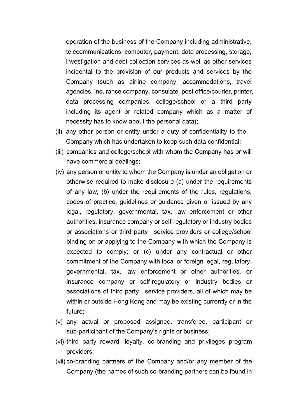operation of the business of the Company including administrative, telecommunications, computer, payment, data processing, storage, investigation and debt collection services as well as other services incidental to the provision of our products and services by the Company (such as airline company, accommodations, travel agencies, insurance company, consulate, post office/courier, printer, data processing companies, college/school or a third party including its agent or related company which as a matter of necessity has to know about the personal data);

- (ii) any other person or entity under a duty of confidentiality to the Company which has undertaken to keep such data confidential;
- (iii) companies and college/school with whom the Company has or will have commercial dealings;
- (iv) any person or entity to whom the Company is under an obligation or otherwise required to make disclosure (a) under the requirements of any law; (b) under the requirements of the rules, regulations, codes of practice, guidelines or guidance given or issued by any legal, regulatory, governmental, tax, law enforcement or other authorities, insurance company or self-regulatory or industry bodies or associations or third party service providers or college/school binding on or applying to the Company with which the Company is expected to comply; or (c) under any contractual or other commitment of the Company with local or foreign legal, regulatory, governmental, tax, law enforcement or other authorities, or insurance company or self-regulatory or industry bodies or associations of third party service providers, all of which may be within or outside Hong Kong and may be existing currently or in the future;
- (v) any actual or proposed assignee, transferee, participant or sub-participant of the Company's rights or business;
- (vi) third party reward, loyalty, co-branding and privileges program providers;
- (vii) co-branding partners of the Company and/or any member of the Company (the names of such co-branding partners can be found in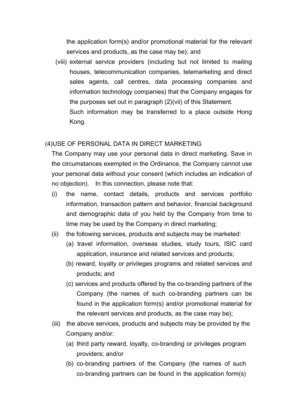the application form(s) and/or promotional material for the relevant services and products, as the case may be); and

(viii) external service providers (including but not limited to mailing houses, telecommunication companies, telemarketing and direct sales agents, call centres, data processing companies and information technology companies) that the Company engages for the purposes set out in paragraph (2)(vii) of this Statement. Such information may be transferred to a place outside Hong Kong.

### (4)USE OF PERSONAL DATA IN DIRECT MARKETING

The Company may use your personal data in direct marketing. Save in the circumstances exempted in the Ordinance, the Company cannot use your personal data without your consent (which includes an indication of no objection). In this connection, please note that:

- (i) the name, contact details, products and services portfolio information, transaction pattern and behavior, financial background and demographic data of you held by the Company from time to time may be used by the Company in direct marketing;
- (ii) the following services, products and subjects may be marketed:
	- (a) travel information, overseas studies, study tours, ISIC card application, insurance and related services and products;
	- (b) reward, loyalty or privileges programs and related services and products; and
	- (c) services and products offered by the co-branding partners of the Company (the names of such co-branding partners can be found in the application form(s) and/or promotional material for the relevant services and products, as the case may be);
- (iii) the above services, products and subjects may be provided by the Company and/or:
	- (a) third party reward, loyalty, co-branding or privileges program providers; and/or
	- (b) co-branding partners of the Company (the names of such co-branding partners can be found in the application form(s)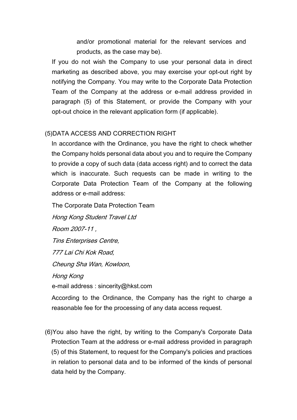and/or promotional material for the relevant services and products, as the case may be).

If you do not wish the Company to use your personal data in direct marketing as described above, you may exercise your opt-out right by notifying the Company. You may write to the Corporate Data Protection Team of the Company at the address or e-mail address provided in paragraph (5) of this Statement, or provide the Company with your opt-out choice in the relevant application form (if applicable).

### (5)DATA ACCESS AND CORRECTION RIGHT

In accordance with the Ordinance, you have the right to check whether the Company holds personal data about you and to require the Company to provide a copy of such data (data access right) and to correct the data which is inaccurate. Such requests can be made in writing to the Corporate Data Protection Team of the Company at the following address or e-mail address:

The Corporate Data Protection Team

Hong Kong Student Travel Ltd

Room 2007-11 ,

Tins Enterprises Centre,

777 Lai Chi Kok Road,

Cheung Sha Wan, Kowloon,

Hong Kong e-mail address : sincerity@hkst.com

According to the Ordinance, the Company has the right to charge a reasonable fee for the processing of any data access request.

(6)You also have the right, by writing to the Company's Corporate Data Protection Team at the address or e-mail address provided in paragraph (5) of this Statement, to request for the Company's policies and practices in relation to personal data and to be informed of the kinds of personal data held by the Company.